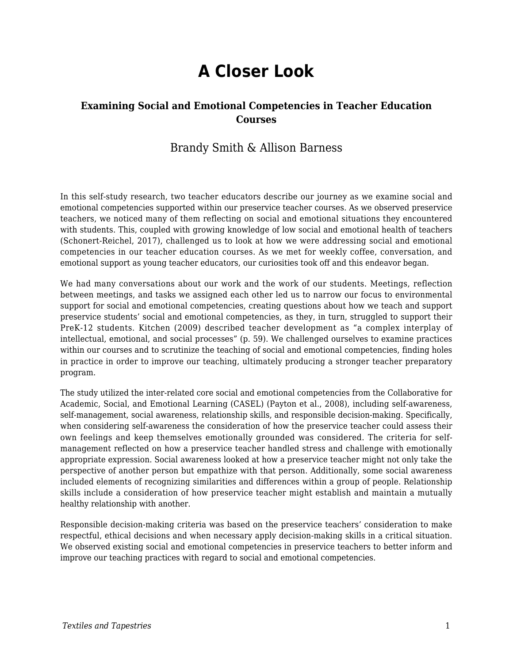# **A Closer Look**

### **Examining Social and Emotional Competencies in Teacher Education Courses**

## Brandy Smith & Allison Barness

In this self-study research, two teacher educators describe our journey as we examine social and emotional competencies supported within our preservice teacher courses. As we observed preservice teachers, we noticed many of them reflecting on social and emotional situations they encountered with students. This, coupled with growing knowledge of low social and emotional health of teachers (Schonert-Reichel, 2017), challenged us to look at how we were addressing social and emotional competencies in our teacher education courses. As we met for weekly coffee, conversation, and emotional support as young teacher educators, our curiosities took off and this endeavor began.

We had many conversations about our work and the work of our students. Meetings, reflection between meetings, and tasks we assigned each other led us to narrow our focus to environmental support for social and emotional competencies, creating questions about how we teach and support preservice students' social and emotional competencies, as they, in turn, struggled to support their PreK-12 students. Kitchen (2009) described teacher development as "a complex interplay of intellectual, emotional, and social processes" (p. 59). We challenged ourselves to examine practices within our courses and to scrutinize the teaching of social and emotional competencies, finding holes in practice in order to improve our teaching, ultimately producing a stronger teacher preparatory program.

The study utilized the inter-related core social and emotional competencies from the Collaborative for Academic, Social, and Emotional Learning (CASEL) (Payton et al., 2008), including self-awareness, self-management, social awareness, relationship skills, and responsible decision-making. Specifically, when considering self-awareness the consideration of how the preservice teacher could assess their own feelings and keep themselves emotionally grounded was considered. The criteria for selfmanagement reflected on how a preservice teacher handled stress and challenge with emotionally appropriate expression. Social awareness looked at how a preservice teacher might not only take the perspective of another person but empathize with that person. Additionally, some social awareness included elements of recognizing similarities and differences within a group of people. Relationship skills include a consideration of how preservice teacher might establish and maintain a mutually healthy relationship with another.

Responsible decision-making criteria was based on the preservice teachers' consideration to make respectful, ethical decisions and when necessary apply decision-making skills in a critical situation. We observed existing social and emotional competencies in preservice teachers to better inform and improve our teaching practices with regard to social and emotional competencies.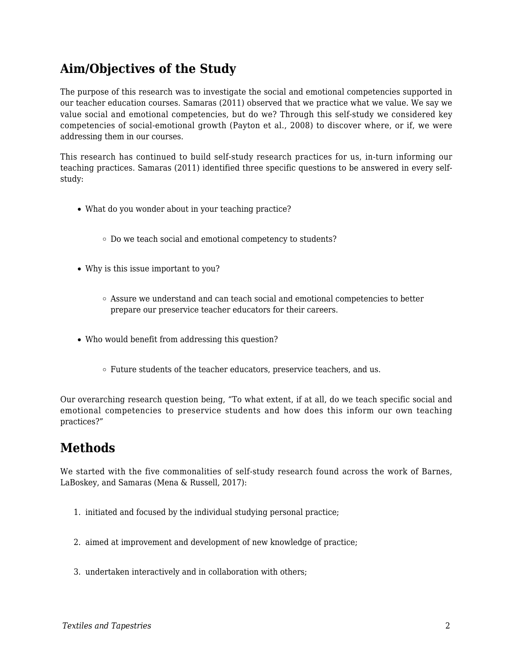# **Aim/Objectives of the Study**

The purpose of this research was to investigate the social and emotional competencies supported in our teacher education courses. Samaras (2011) observed that we practice what we value. We say we value social and emotional competencies, but do we? Through this self-study we considered key competencies of social-emotional growth (Payton et al., 2008) to discover where, or if, we were addressing them in our courses.

This research has continued to build self-study research practices for us, in-turn informing our teaching practices. Samaras (2011) identified three specific questions to be answered in every selfstudy:

- What do you wonder about in your teaching practice?
	- Do we teach social and emotional competency to students?
- Why is this issue important to you?
	- $\circ$  Assure we understand and can teach social and emotional competencies to better prepare our preservice teacher educators for their careers.
- Who would benefit from addressing this question?
	- Future students of the teacher educators, preservice teachers, and us.

Our overarching research question being, "To what extent, if at all, do we teach specific social and emotional competencies to preservice students and how does this inform our own teaching practices?"

# **Methods**

We started with the five commonalities of self-study research found across the work of Barnes, LaBoskey, and Samaras (Mena & Russell, 2017):

- 1. initiated and focused by the individual studying personal practice;
- 2. aimed at improvement and development of new knowledge of practice;
- 3. undertaken interactively and in collaboration with others;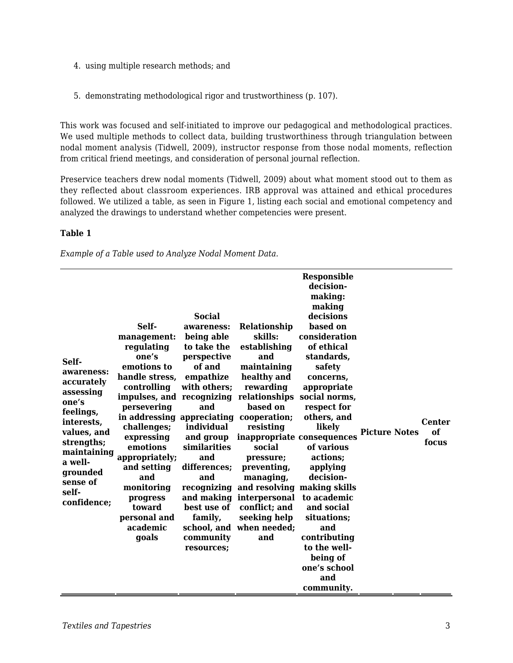- 4. using multiple research methods; and
- 5. demonstrating methodological rigor and trustworthiness (p. 107).

This work was focused and self-initiated to improve our pedagogical and methodological practices. We used multiple methods to collect data, building trustworthiness through triangulation between nodal moment analysis (Tidwell, 2009), instructor response from those nodal moments, reflection from critical friend meetings, and consideration of personal journal reflection.

Preservice teachers drew nodal moments (Tidwell, 2009) about what moment stood out to them as they reflected about classroom experiences. IRB approval was attained and ethical procedures followed. We utilized a table, as seen in Figure 1, listing each social and emotional competency and analyzed the drawings to understand whether competencies were present.

#### **Table 1**

*Example of a Table used to Analyze Nodal Moment Data.*

| Self-<br>awareness:<br>accurately<br>assessing<br>one's<br>feelings,<br>interests,<br>values, and<br>strengths;<br>maintaining<br>a well-<br>grounded<br>sense of<br>self-<br>confidence; | Self-<br>management:<br>regulating<br>one's<br>emotions to<br>handle stress,<br>controlling<br>impulses, and recognizing relationships<br>persevering<br>in addressing appreciating cooperation;<br>challenges;<br>expressing<br>emotions<br>appropriately;<br>and setting<br>and<br>monitoring<br>progress<br>toward<br>personal and<br>academic<br>goals | <b>Social</b><br>awareness:<br>being able<br>to take the<br>perspective<br>of and<br>empathize<br>with others;<br>and<br>individual<br>and group<br>similarities<br>and<br>differences;<br>and<br>recognizing<br>and making<br>best use of<br>family,<br>community<br>resources; | Relationship<br>skills:<br>establishing<br>and<br>maintaining<br>healthy and<br>rewarding<br>based on<br>resisting<br>social<br>pressure;<br>preventing,<br>managing,<br>and resolving making skills<br>interpersonal<br>conflict; and<br>seeking help<br>school, and when needed;<br>and | <b>Responsible</b><br>decision-<br>making:<br>making<br>decisions<br>based on<br>consideration<br>of ethical<br>standards,<br>safety<br>concerns,<br>appropriate<br>social norms,<br>respect for<br>others, and<br>likely<br>inappropriate consequences<br>of various<br>actions;<br>applying<br>decision-<br>to academic<br>and social<br>situations;<br>and<br>contributing<br>to the well-<br>being of<br>one's school<br>and<br>community. | <b>Picture Notes</b> | <b>Center</b><br>of<br>focus |
|-------------------------------------------------------------------------------------------------------------------------------------------------------------------------------------------|------------------------------------------------------------------------------------------------------------------------------------------------------------------------------------------------------------------------------------------------------------------------------------------------------------------------------------------------------------|----------------------------------------------------------------------------------------------------------------------------------------------------------------------------------------------------------------------------------------------------------------------------------|-------------------------------------------------------------------------------------------------------------------------------------------------------------------------------------------------------------------------------------------------------------------------------------------|------------------------------------------------------------------------------------------------------------------------------------------------------------------------------------------------------------------------------------------------------------------------------------------------------------------------------------------------------------------------------------------------------------------------------------------------|----------------------|------------------------------|
|-------------------------------------------------------------------------------------------------------------------------------------------------------------------------------------------|------------------------------------------------------------------------------------------------------------------------------------------------------------------------------------------------------------------------------------------------------------------------------------------------------------------------------------------------------------|----------------------------------------------------------------------------------------------------------------------------------------------------------------------------------------------------------------------------------------------------------------------------------|-------------------------------------------------------------------------------------------------------------------------------------------------------------------------------------------------------------------------------------------------------------------------------------------|------------------------------------------------------------------------------------------------------------------------------------------------------------------------------------------------------------------------------------------------------------------------------------------------------------------------------------------------------------------------------------------------------------------------------------------------|----------------------|------------------------------|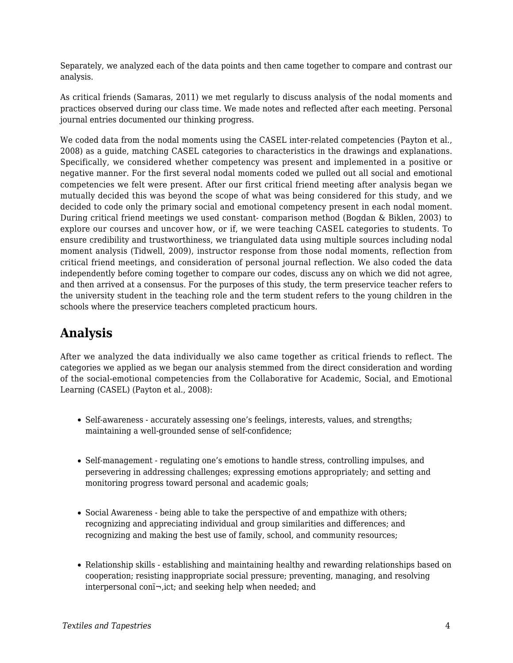Separately, we analyzed each of the data points and then came together to compare and contrast our analysis.

As critical friends (Samaras, 2011) we met regularly to discuss analysis of the nodal moments and practices observed during our class time. We made notes and reflected after each meeting. Personal journal entries documented our thinking progress.

We coded data from the nodal moments using the CASEL inter-related competencies (Payton et al., 2008) as a guide, matching CASEL categories to characteristics in the drawings and explanations. Specifically, we considered whether competency was present and implemented in a positive or negative manner. For the first several nodal moments coded we pulled out all social and emotional competencies we felt were present. After our first critical friend meeting after analysis began we mutually decided this was beyond the scope of what was being considered for this study, and we decided to code only the primary social and emotional competency present in each nodal moment. During critical friend meetings we used constant- comparison method (Bogdan & Biklen, 2003) to explore our courses and uncover how, or if, we were teaching CASEL categories to students. To ensure credibility and trustworthiness, we triangulated data using multiple sources including nodal moment analysis (Tidwell, 2009), instructor response from those nodal moments, reflection from critical friend meetings, and consideration of personal journal reflection. We also coded the data independently before coming together to compare our codes, discuss any on which we did not agree, and then arrived at a consensus. For the purposes of this study, the term preservice teacher refers to the university student in the teaching role and the term student refers to the young children in the schools where the preservice teachers completed practicum hours.

# **Analysis**

After we analyzed the data individually we also came together as critical friends to reflect. The categories we applied as we began our analysis stemmed from the direct consideration and wording of the social-emotional competencies from the Collaborative for Academic, Social, and Emotional Learning (CASEL) (Payton et al., 2008):

- Self-awareness accurately assessing one's feelings, interests, values, and strengths; maintaining a well-grounded sense of self-confidence;
- Self-management regulating one's emotions to handle stress, controlling impulses, and persevering in addressing challenges; expressing emotions appropriately; and setting and monitoring progress toward personal and academic goals;
- Social Awareness being able to take the perspective of and empathize with others; recognizing and appreciating individual and group similarities and differences; and recognizing and making the best use of family, school, and community resources;
- Relationship skills establishing and maintaining healthy and rewarding relationships based on cooperation; resisting inappropriate social pressure; preventing, managing, and resolving interpersonal con $i\rightarrow$ , ict; and seeking help when needed; and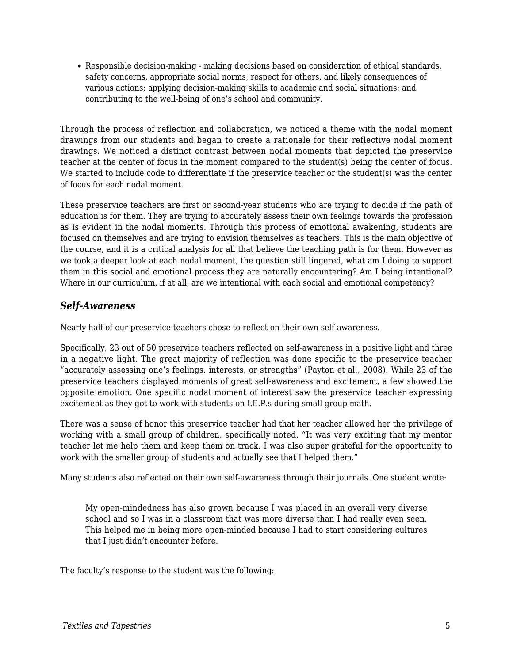Responsible decision-making - making decisions based on consideration of ethical standards, safety concerns, appropriate social norms, respect for others, and likely consequences of various actions; applying decision-making skills to academic and social situations; and contributing to the well-being of one's school and community.

Through the process of reflection and collaboration, we noticed a theme with the nodal moment drawings from our students and began to create a rationale for their reflective nodal moment drawings. We noticed a distinct contrast between nodal moments that depicted the preservice teacher at the center of focus in the moment compared to the student(s) being the center of focus. We started to include code to differentiate if the preservice teacher or the student(s) was the center of focus for each nodal moment.

These preservice teachers are first or second-year students who are trying to decide if the path of education is for them. They are trying to accurately assess their own feelings towards the profession as is evident in the nodal moments. Through this process of emotional awakening, students are focused on themselves and are trying to envision themselves as teachers. This is the main objective of the course, and it is a critical analysis for all that believe the teaching path is for them. However as we took a deeper look at each nodal moment, the question still lingered, what am I doing to support them in this social and emotional process they are naturally encountering? Am I being intentional? Where in our curriculum, if at all, are we intentional with each social and emotional competency?

### *Self-Awareness*

Nearly half of our preservice teachers chose to reflect on their own self-awareness.

Specifically, 23 out of 50 preservice teachers reflected on self-awareness in a positive light and three in a negative light. The great majority of reflection was done specific to the preservice teacher "accurately assessing one's feelings, interests, or strengths" (Payton et al., 2008). While 23 of the preservice teachers displayed moments of great self-awareness and excitement, a few showed the opposite emotion. One specific nodal moment of interest saw the preservice teacher expressing excitement as they got to work with students on I.E.P.s during small group math.

There was a sense of honor this preservice teacher had that her teacher allowed her the privilege of working with a small group of children, specifically noted, "It was very exciting that my mentor teacher let me help them and keep them on track. I was also super grateful for the opportunity to work with the smaller group of students and actually see that I helped them."

Many students also reflected on their own self-awareness through their journals. One student wrote:

My open-mindedness has also grown because I was placed in an overall very diverse school and so I was in a classroom that was more diverse than I had really even seen. This helped me in being more open-minded because I had to start considering cultures that I just didn't encounter before.

The faculty's response to the student was the following: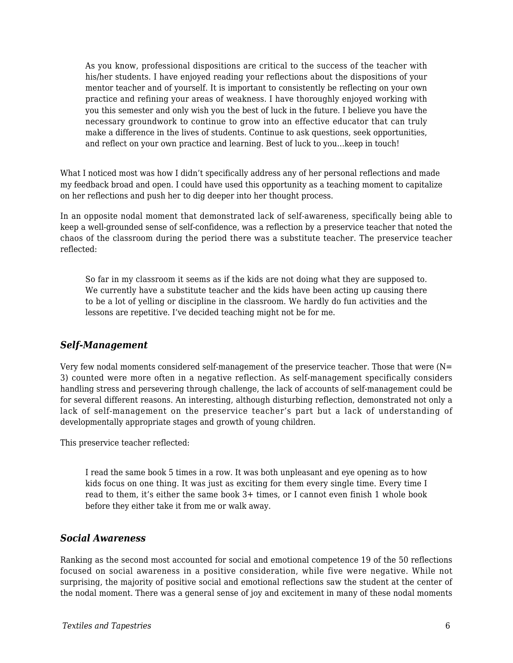As you know, professional dispositions are critical to the success of the teacher with his/her students. I have enjoyed reading your reflections about the dispositions of your mentor teacher and of yourself. It is important to consistently be reflecting on your own practice and refining your areas of weakness. I have thoroughly enjoyed working with you this semester and only wish you the best of luck in the future. I believe you have the necessary groundwork to continue to grow into an effective educator that can truly make a difference in the lives of students. Continue to ask questions, seek opportunities, and reflect on your own practice and learning. Best of luck to you…keep in touch!

What I noticed most was how I didn't specifically address any of her personal reflections and made my feedback broad and open. I could have used this opportunity as a teaching moment to capitalize on her reflections and push her to dig deeper into her thought process.

In an opposite nodal moment that demonstrated lack of self-awareness, specifically being able to keep a well-grounded sense of self-confidence, was a reflection by a preservice teacher that noted the chaos of the classroom during the period there was a substitute teacher. The preservice teacher reflected:

So far in my classroom it seems as if the kids are not doing what they are supposed to. We currently have a substitute teacher and the kids have been acting up causing there to be a lot of yelling or discipline in the classroom. We hardly do fun activities and the lessons are repetitive. I've decided teaching might not be for me.

#### *Self-Management*

Very few nodal moments considered self-management of the preservice teacher. Those that were (N= 3) counted were more often in a negative reflection. As self-management specifically considers handling stress and persevering through challenge, the lack of accounts of self-management could be for several different reasons. An interesting, although disturbing reflection, demonstrated not only a lack of self-management on the preservice teacher's part but a lack of understanding of developmentally appropriate stages and growth of young children.

This preservice teacher reflected:

I read the same book 5 times in a row. It was both unpleasant and eye opening as to how kids focus on one thing. It was just as exciting for them every single time. Every time I read to them, it's either the same book 3+ times, or I cannot even finish 1 whole book before they either take it from me or walk away.

#### *Social Awareness*

Ranking as the second most accounted for social and emotional competence 19 of the 50 reflections focused on social awareness in a positive consideration, while five were negative. While not surprising, the majority of positive social and emotional reflections saw the student at the center of the nodal moment. There was a general sense of joy and excitement in many of these nodal moments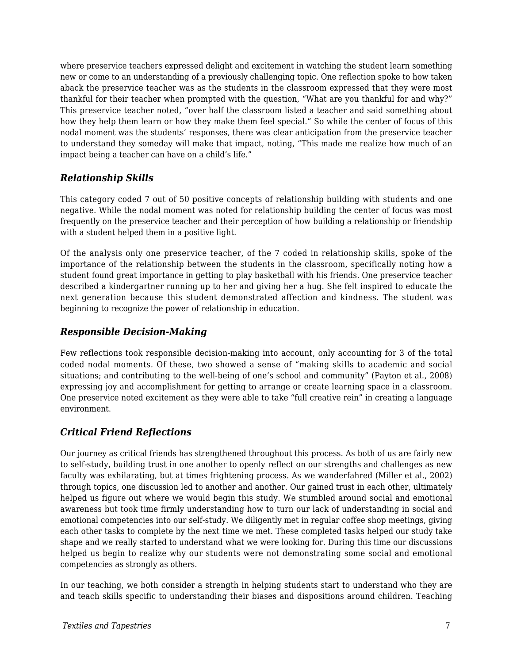where preservice teachers expressed delight and excitement in watching the student learn something new or come to an understanding of a previously challenging topic. One reflection spoke to how taken aback the preservice teacher was as the students in the classroom expressed that they were most thankful for their teacher when prompted with the question, "What are you thankful for and why?" This preservice teacher noted, "over half the classroom listed a teacher and said something about how they help them learn or how they make them feel special." So while the center of focus of this nodal moment was the students' responses, there was clear anticipation from the preservice teacher to understand they someday will make that impact, noting, "This made me realize how much of an impact being a teacher can have on a child's life."

### *Relationship Skills*

This category coded 7 out of 50 positive concepts of relationship building with students and one negative. While the nodal moment was noted for relationship building the center of focus was most frequently on the preservice teacher and their perception of how building a relationship or friendship with a student helped them in a positive light.

Of the analysis only one preservice teacher, of the 7 coded in relationship skills, spoke of the importance of the relationship between the students in the classroom, specifically noting how a student found great importance in getting to play basketball with his friends. One preservice teacher described a kindergartner running up to her and giving her a hug. She felt inspired to educate the next generation because this student demonstrated affection and kindness. The student was beginning to recognize the power of relationship in education.

### *Responsible Decision-Making*

Few reflections took responsible decision-making into account, only accounting for 3 of the total coded nodal moments. Of these, two showed a sense of "making skills to academic and social situations; and contributing to the well-being of one's school and community" (Payton et al., 2008) expressing joy and accomplishment for getting to arrange or create learning space in a classroom. One preservice noted excitement as they were able to take "full creative rein" in creating a language environment.

## *Critical Friend Reflections*

Our journey as critical friends has strengthened throughout this process. As both of us are fairly new to self-study, building trust in one another to openly reflect on our strengths and challenges as new faculty was exhilarating, but at times frightening process. As we wanderfahred (Miller et al., 2002) through topics, one discussion led to another and another. Our gained trust in each other, ultimately helped us figure out where we would begin this study. We stumbled around social and emotional awareness but took time firmly understanding how to turn our lack of understanding in social and emotional competencies into our self-study. We diligently met in regular coffee shop meetings, giving each other tasks to complete by the next time we met. These completed tasks helped our study take shape and we really started to understand what we were looking for. During this time our discussions helped us begin to realize why our students were not demonstrating some social and emotional competencies as strongly as others.

In our teaching, we both consider a strength in helping students start to understand who they are and teach skills specific to understanding their biases and dispositions around children. Teaching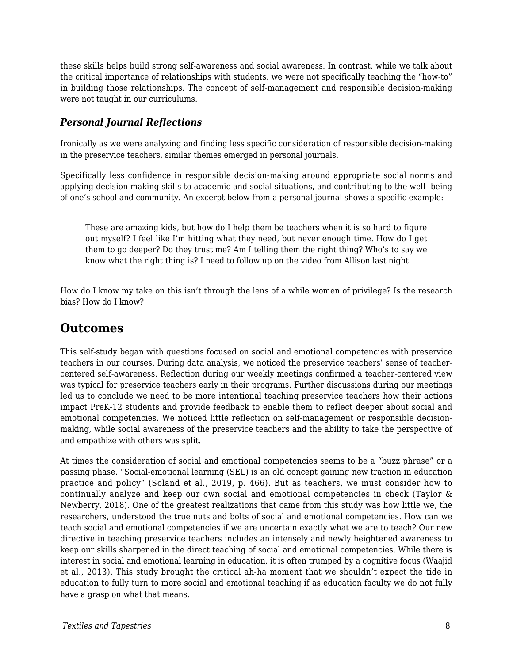these skills helps build strong self-awareness and social awareness. In contrast, while we talk about the critical importance of relationships with students, we were not specifically teaching the "how-to" in building those relationships. The concept of self-management and responsible decision-making were not taught in our curriculums.

### *Personal Journal Reflections*

Ironically as we were analyzing and finding less specific consideration of responsible decision-making in the preservice teachers, similar themes emerged in personal journals.

Specifically less confidence in responsible decision-making around appropriate social norms and applying decision-making skills to academic and social situations, and contributing to the well- being of one's school and community. An excerpt below from a personal journal shows a specific example:

These are amazing kids, but how do I help them be teachers when it is so hard to figure out myself? I feel like I'm hitting what they need, but never enough time. How do I get them to go deeper? Do they trust me? Am I telling them the right thing? Who's to say we know what the right thing is? I need to follow up on the video from Allison last night.

How do I know my take on this isn't through the lens of a while women of privilege? Is the research bias? How do I know?

# **Outcomes**

This self-study began with questions focused on social and emotional competencies with preservice teachers in our courses. During data analysis, we noticed the preservice teachers' sense of teachercentered self-awareness. Reflection during our weekly meetings confirmed a teacher-centered view was typical for preservice teachers early in their programs. Further discussions during our meetings led us to conclude we need to be more intentional teaching preservice teachers how their actions impact PreK-12 students and provide feedback to enable them to reflect deeper about social and emotional competencies. We noticed little reflection on self-management or responsible decisionmaking, while social awareness of the preservice teachers and the ability to take the perspective of and empathize with others was split.

At times the consideration of social and emotional competencies seems to be a "buzz phrase" or a passing phase. "Social-emotional learning (SEL) is an old concept gaining new traction in education practice and policy" (Soland et al., 2019, p. 466). But as teachers, we must consider how to continually analyze and keep our own social and emotional competencies in check (Taylor & Newberry, 2018). One of the greatest realizations that came from this study was how little we, the researchers, understood the true nuts and bolts of social and emotional competencies. How can we teach social and emotional competencies if we are uncertain exactly what we are to teach? Our new directive in teaching preservice teachers includes an intensely and newly heightened awareness to keep our skills sharpened in the direct teaching of social and emotional competencies. While there is interest in social and emotional learning in education, it is often trumped by a cognitive focus (Waajid et al., 2013). This study brought the critical ah-ha moment that we shouldn't expect the tide in education to fully turn to more social and emotional teaching if as education faculty we do not fully have a grasp on what that means.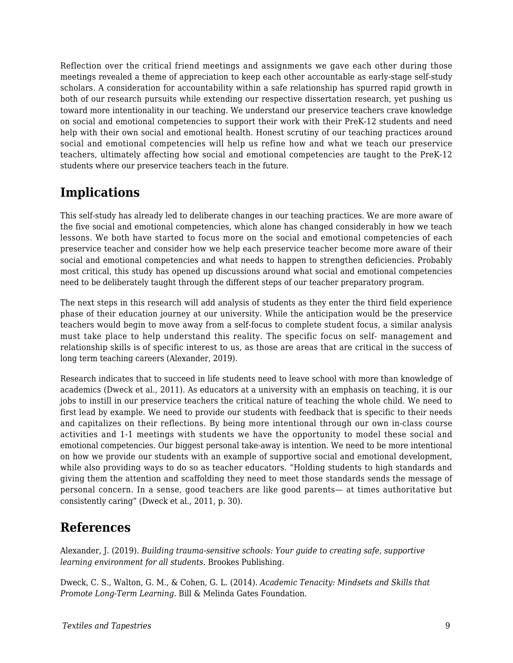Reflection over the critical friend meetings and assignments we gave each other during those meetings revealed a theme of appreciation to keep each other accountable as early-stage self-study scholars. A consideration for accountability within a safe relationship has spurred rapid growth in both of our research pursuits while extending our respective dissertation research, yet pushing us toward more intentionality in our teaching. We understand our preservice teachers crave knowledge on social and emotional competencies to support their work with their PreK-12 students and need help with their own social and emotional health. Honest scrutiny of our teaching practices around social and emotional competencies will help us refine how and what we teach our preservice teachers, ultimately affecting how social and emotional competencies are taught to the PreK-12 students where our preservice teachers teach in the future.

# **Implications**

This self-study has already led to deliberate changes in our teaching practices. We are more aware of the five social and emotional competencies, which alone has changed considerably in how we teach lessons. We both have started to focus more on the social and emotional competencies of each preservice teacher and consider how we help each preservice teacher become more aware of their social and emotional competencies and what needs to happen to strengthen deficiencies. Probably most critical, this study has opened up discussions around what social and emotional competencies need to be deliberately taught through the different steps of our teacher preparatory program.

The next steps in this research will add analysis of students as they enter the third field experience phase of their education journey at our university. While the anticipation would be the preservice teachers would begin to move away from a self-focus to complete student focus, a similar analysis must take place to help understand this reality. The specific focus on self- management and relationship skills is of specific interest to us, as those are areas that are critical in the success of long term teaching careers (Alexander, 2019).

Research indicates that to succeed in life students need to leave school with more than knowledge of academics (Dweck et al., 2011). As educators at a university with an emphasis on teaching, it is our jobs to instill in our preservice teachers the critical nature of teaching the whole child. We need to first lead by example. We need to provide our students with feedback that is specific to their needs and capitalizes on their reflections. By being more intentional through our own in-class course activities and 1-1 meetings with students we have the opportunity to model these social and emotional competencies. Our biggest personal take-away is intention. We need to be more intentional on how we provide our students with an example of supportive social and emotional development, while also providing ways to do so as teacher educators. "Holding students to high standards and giving them the attention and scaffolding they need to meet those standards sends the message of personal concern. In a sense, good teachers are like good parents— at times authoritative but consistently caring" (Dweck et al., 2011, p. 30).

# **References**

Alexander, J. (2019). *Building trauma-sensitive schools: Your guide to creating safe, supportive learning environment for all students.* Brookes Publishing.

Dweck, C. S., Walton, G. M., & Cohen, G. L. (2014). *Academic Tenacity: Mindsets and Skills that Promote Long-Term Learning.* Bill & Melinda Gates Foundation.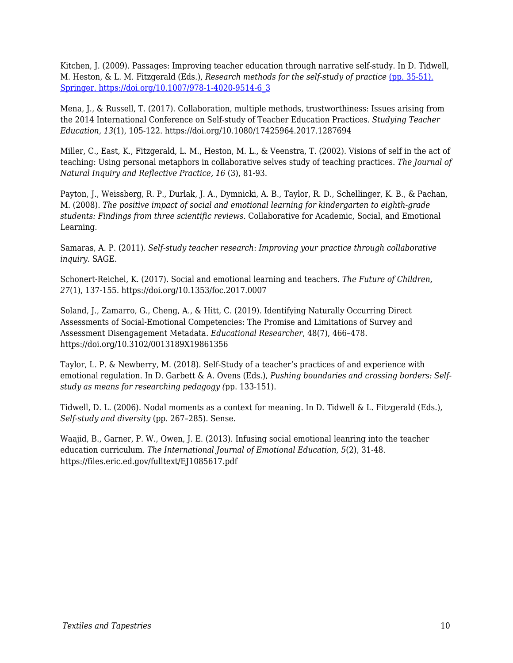Kitchen, J. (2009). Passages: Improving teacher education through narrative self-study. In D. Tidwell, M. Heston, & L. M. Fitzgerald (Eds.), *Research methods for the self-study of practice* [\(pp. 35-51\).](https://doi.org/10.1007/978-1-4020-9514-6_3) [Springer. https://doi.org/10.1007/978-1-4020-9514-6\\_3](https://doi.org/10.1007/978-1-4020-9514-6_3)

Mena, J., & Russell, T. (2017). Collaboration, multiple methods, trustworthiness: Issues arising from the 2014 International Conference on Self-study of Teacher Education Practices. *Studying Teacher Education, 13*(1), 105-122. https://doi.org/10.1080/17425964.2017.1287694

Miller, C., East, K., Fitzgerald, L. M., Heston, M. L., & Veenstra, T. (2002). Visions of self in the act of teaching: Using personal metaphors in collaborative selves study of teaching practices. *The Journal of Natural Inquiry and Reflective Practice, 16* (3), 81-93.

Payton, J., Weissberg, R. P., Durlak, J. A., Dymnicki, A. B., Taylor, R. D., Schellinger, K. B., & Pachan, M. (2008). *The positive impact of social and emotional learning for kindergarten to eighth-grade students: Findings from three scientific reviews.* Collaborative for Academic, Social, and Emotional Learning.

Samaras, A. P. (2011). *Self-study teacher research*: *Improving your practice through collaborative inquiry*. SAGE.

Schonert-Reichel, K. (2017). Social and emotional learning and teachers. *The Future of Children, 27*(1), 137-155. https://doi.org/10.1353/foc.2017.0007

Soland, J., Zamarro, G., Cheng, A., & Hitt, C. (2019). Identifying Naturally Occurring Direct Assessments of Social-Emotional Competencies: The Promise and Limitations of Survey and Assessment Disengagement Metadata. *Educational Researcher*, 48(7), 466–478. https://doi.org/10.3102/0013189X19861356

Taylor, L. P. & Newberry, M. (2018). Self-Study of a teacher's practices of and experience with emotional regulation. In D. Garbett & A. Ovens (Eds.), *Pushing boundaries and crossing borders: Selfstudy as means for researching pedagogy (*pp. 133-151).

Tidwell, D. L. (2006). Nodal moments as a context for meaning. In D. Tidwell & L. Fitzgerald (Eds.), *Self-study and diversity* (pp. 267–285). Sense.

Waajid, B., Garner, P. W., Owen, J. E. (2013). Infusing social emotional leanring into the teacher education curriculum*. The International Journal of Emotional Education, 5*(2), 31-48. https://files.eric.ed.gov/fulltext/EJ1085617.pdf